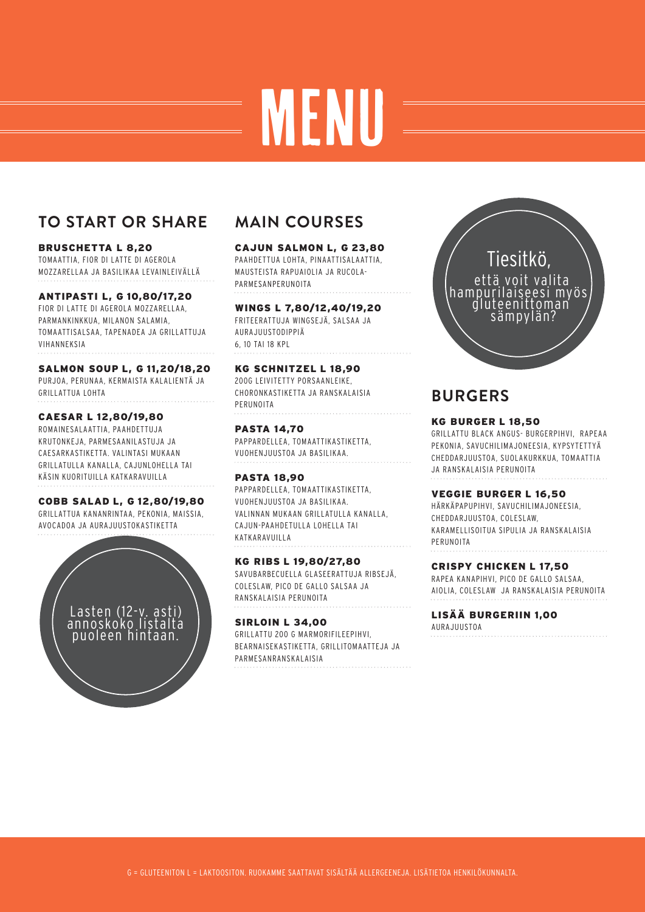# MENU

# **TO START OR SHARE**

### BRUSCHETTA L 8,20

TOMAATTIA, FIOR DI LATTE DI AGEROLA MOZZARELLAA JA BASILIKAA LEVAINLEIVÄLLÄ

### **ANTIPASTI 10,80/17,20 L, G**

FIOR DI LATTE DI AGEROLA MOZZARELLAA, PARMANKINKKUA, MILANON SALAMIA, TOMAATTISALSAA, TAPENADEA JA GRILLATTUJA VIHANNEKSIA

### **SALMON SOUP 11,20/18,20 L, G**

PURJOA, PERUNAA, KERMAISTA KALALIENTÄ JA GRILLATTUA LOHTA

### **CAESAR 12,80/19,80 L**

ROMAINESALAATTIA, PAAHDETTUJA KRUTONKEJA, PARMESAANILASTUJA JA CAESARKASTIKETTA. VALINTASI MUKAAN GRILLATULLA KANALLA, CAJUNLOHELLA TAI KÄSIN KUORITUILLA KATKARAVUILLA

**COBB SALAD 12,80/19,80 L, G** GRILLATTUA KANANRINTAA, PEKONIA, MAISSIA, AVOCADOA JA AURAJUUSTOKASTIKETTA



# **MAIN COURSES**

### **CAJUN SALMON 23,80 L, G**

PAAHDETTUA LOHTA, PINAATTISALAATTIA, MAUSTEISTA RAPUAIOLIA JA RUCOLA-PARMESANPERUNOITA

### **WINGS 7,80/12,40/19,20 L**

FRITEERATTUJA WINGSEJÄ, SALSAA JA AURAJUUSTODIPPIÄ 6, 10 TAI 18 KPL

### **KG SCHNITZEL 18,90 L**

200G LEIVITETTY PORSAANLEIKE, CHORONKASTIKETTA JA RANSKALAISIA PERUNOITA

### **PASTA 14,70** PAPPARDELLEA, TOMAATTIKASTIKETTA, VUOHENJUUSTOA JA BASILIKAA.

**PASTA 18,90** PAPPARDELLEA, TOMAATTIKASTIKETTA, VUOHENJUUSTOA JA BASILIKAA. VALINNAN MUKAAN GRILLATULLA KANALLA, CAJUN-PAAHDETULLA LOHELLA TAI KATKARAVUILLA

### **KG RIBS 19,80/27,80 L** SAVUBARBECUELLA GLASEERATTUJA RIBSEJÄ,

COLESLAW, PICO DE GALLO SALSAA JA RANSKALAISIA PERUNOITA

### **SIRLOIN 34,00 L** GRILLATTU 200 G MARMORIFILEEPIHVI, BEARNAISEKASTIKETTA, GRILLITOMAATTEJA JA PARMESANRANSKALAISIA



# **BURGERS**

### **KG BURGER 18,50 L**

GRILLATTU BLACK ANGUS- BURGERPIHVI, RAPEAA PEKONIA, SAVUCHILIMAJONEESIA, KYPSYTETTYÄ CHEDDARJUUSTOA, SUOLAKURKKUA, TOMAATTIA JA RANSKALAISIA PERUNOITA

### **VEGGIE BURGER 16,50 L**

HÄRKÄPAPUPIHVI, SAVUCHILIMAJONEESIA, CHEDDARJUUSTOA, COLESLAW, KARAMELLISOITUA SIPULIA JA RANSKALAISIA PERUNOITA

### **CRISPY CHICKEN L 17,50**

RAPEA KANAPIHVI, PICO DE GALLO SALSAA, AIOLIA, COLESLAW JA RANSKALAISIA PERUNOITA

### **LISÄÄ BURGERIIN 1,00**

AURAJUUSTOA